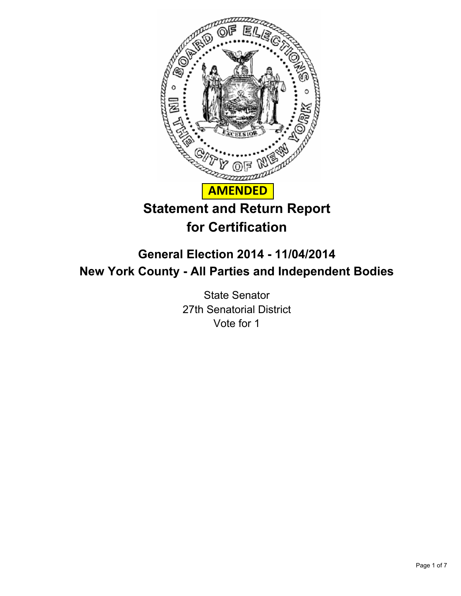

# **for Certification**

# **General Election 2014 - 11/04/2014 New York County - All Parties and Independent Bodies**

State Senator 27th Senatorial District Vote for 1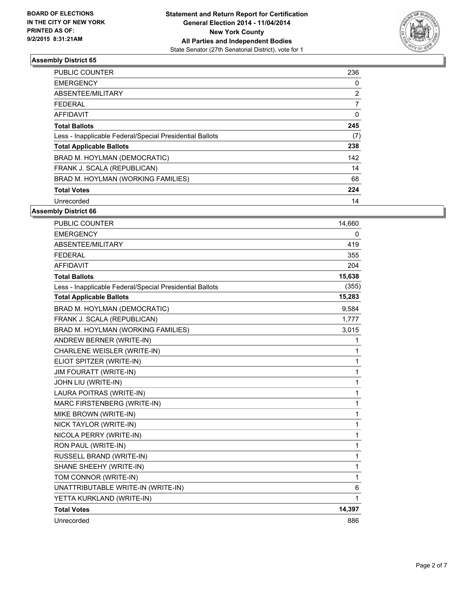

| <b>PUBLIC COUNTER</b>                                    | 236 |
|----------------------------------------------------------|-----|
| <b>EMERGENCY</b>                                         | 0   |
| ABSENTEE/MILITARY                                        | 2   |
| <b>FEDERAL</b>                                           | 7   |
| <b>AFFIDAVIT</b>                                         | 0   |
| <b>Total Ballots</b>                                     | 245 |
| Less - Inapplicable Federal/Special Presidential Ballots | (7) |
| <b>Total Applicable Ballots</b>                          | 238 |
| BRAD M. HOYLMAN (DEMOCRATIC)                             | 142 |
| FRANK J. SCALA (REPUBLICAN)                              | 14  |
| BRAD M. HOYLMAN (WORKING FAMILIES)                       | 68  |
| <b>Total Votes</b>                                       | 224 |
| Unrecorded                                               | 14  |

| <b>PUBLIC COUNTER</b>                                    | 14,660 |
|----------------------------------------------------------|--------|
| <b>EMERGENCY</b>                                         | 0      |
| ABSENTEE/MILITARY                                        | 419    |
| <b>FEDERAL</b>                                           | 355    |
| <b>AFFIDAVIT</b>                                         | 204    |
| <b>Total Ballots</b>                                     | 15,638 |
| Less - Inapplicable Federal/Special Presidential Ballots | (355)  |
| <b>Total Applicable Ballots</b>                          | 15,283 |
| BRAD M. HOYLMAN (DEMOCRATIC)                             | 9.584  |
| FRANK J. SCALA (REPUBLICAN)                              | 1,777  |
| BRAD M. HOYLMAN (WORKING FAMILIES)                       | 3,015  |
| ANDREW BERNER (WRITE-IN)                                 | 1      |
| CHARLENE WEISLER (WRITE-IN)                              | 1      |
| ELIOT SPITZER (WRITE-IN)                                 | 1      |
| <b>JIM FOURATT (WRITE-IN)</b>                            | 1      |
| JOHN LIU (WRITE-IN)                                      | 1      |
| LAURA POITRAS (WRITE-IN)                                 | 1      |
| MARC FIRSTENBERG (WRITE-IN)                              | 1      |
| MIKE BROWN (WRITE-IN)                                    | 1      |
| NICK TAYLOR (WRITE-IN)                                   | 1      |
| NICOLA PERRY (WRITE-IN)                                  | 1      |
| RON PAUL (WRITE-IN)                                      | 1      |
| RUSSELL BRAND (WRITE-IN)                                 | 1      |
| SHANE SHEEHY (WRITE-IN)                                  | 1      |
| TOM CONNOR (WRITE-IN)                                    | 1      |
| UNATTRIBUTABLE WRITE-IN (WRITE-IN)                       | 6      |
| YETTA KURKLAND (WRITE-IN)                                | 1      |
| <b>Total Votes</b>                                       | 14,397 |
| Unrecorded                                               | 886    |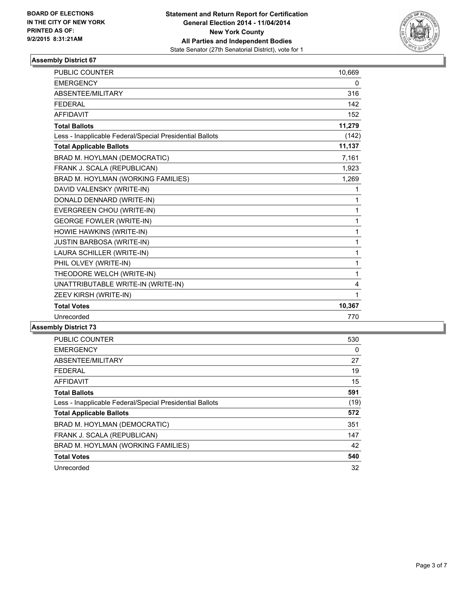

| <b>PUBLIC COUNTER</b>                                    | 10,669 |
|----------------------------------------------------------|--------|
| <b>EMERGENCY</b>                                         | 0      |
| ABSENTEE/MILITARY                                        | 316    |
| <b>FEDERAL</b>                                           | 142    |
| <b>AFFIDAVIT</b>                                         | 152    |
| <b>Total Ballots</b>                                     | 11,279 |
| Less - Inapplicable Federal/Special Presidential Ballots | (142)  |
| <b>Total Applicable Ballots</b>                          | 11,137 |
| BRAD M. HOYLMAN (DEMOCRATIC)                             | 7,161  |
| FRANK J. SCALA (REPUBLICAN)                              | 1,923  |
| BRAD M. HOYLMAN (WORKING FAMILIES)                       | 1,269  |
| DAVID VALENSKY (WRITE-IN)                                | 1      |
| DONALD DENNARD (WRITE-IN)                                | 1      |
| EVERGREEN CHOU (WRITE-IN)                                | 1      |
| <b>GEORGE FOWLER (WRITE-IN)</b>                          | 1      |
| HOWIE HAWKINS (WRITE-IN)                                 | 1      |
| <b>JUSTIN BARBOSA (WRITE-IN)</b>                         | 1      |
| LAURA SCHILLER (WRITE-IN)                                | 1      |
| PHIL OLVEY (WRITE-IN)                                    | 1      |
| THEODORE WELCH (WRITE-IN)                                | 1      |
| UNATTRIBUTABLE WRITE-IN (WRITE-IN)                       | 4      |
| ZEEV KIRSH (WRITE-IN)                                    | 1      |
| <b>Total Votes</b>                                       | 10,367 |
| Unrecorded                                               | 770    |

| <b>PUBLIC COUNTER</b>                                    | 530  |
|----------------------------------------------------------|------|
| <b>EMERGENCY</b>                                         | 0    |
| ABSENTEE/MILITARY                                        | 27   |
| <b>FEDERAL</b>                                           | 19   |
| <b>AFFIDAVIT</b>                                         | 15   |
| <b>Total Ballots</b>                                     | 591  |
| Less - Inapplicable Federal/Special Presidential Ballots | (19) |
| <b>Total Applicable Ballots</b>                          | 572  |
| BRAD M. HOYLMAN (DEMOCRATIC)                             | 351  |
| FRANK J. SCALA (REPUBLICAN)                              | 147  |
| BRAD M. HOYLMAN (WORKING FAMILIES)                       | 42   |
| <b>Total Votes</b>                                       | 540  |
| Unrecorded                                               | 32   |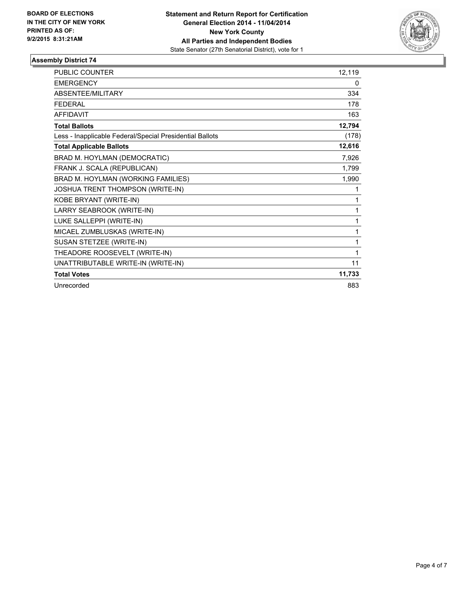

| <b>PUBLIC COUNTER</b>                                    | 12,119 |
|----------------------------------------------------------|--------|
| <b>EMERGENCY</b>                                         | 0      |
| <b>ABSENTEE/MILITARY</b>                                 | 334    |
| <b>FFDFRAI</b>                                           | 178    |
| <b>AFFIDAVIT</b>                                         | 163    |
| <b>Total Ballots</b>                                     | 12,794 |
| Less - Inapplicable Federal/Special Presidential Ballots | (178)  |
| <b>Total Applicable Ballots</b>                          | 12,616 |
| BRAD M. HOYLMAN (DEMOCRATIC)                             | 7,926  |
| FRANK J. SCALA (REPUBLICAN)                              | 1,799  |
| BRAD M. HOYLMAN (WORKING FAMILIES)                       | 1,990  |
| JOSHUA TRENT THOMPSON (WRITE-IN)                         | 1      |
| KOBE BRYANT (WRITE-IN)                                   | 1      |
| LARRY SEABROOK (WRITE-IN)                                | 1      |
| LUKE SALLEPPI (WRITE-IN)                                 | 1      |
| MICAEL ZUMBLUSKAS (WRITE-IN)                             | 1      |
| SUSAN STETZEE (WRITE-IN)                                 | 1      |
| THEADORE ROOSEVELT (WRITE-IN)                            | 1      |
| UNATTRIBUTABLE WRITE-IN (WRITE-IN)                       | 11     |
| <b>Total Votes</b>                                       | 11,733 |
| Unrecorded                                               | 883    |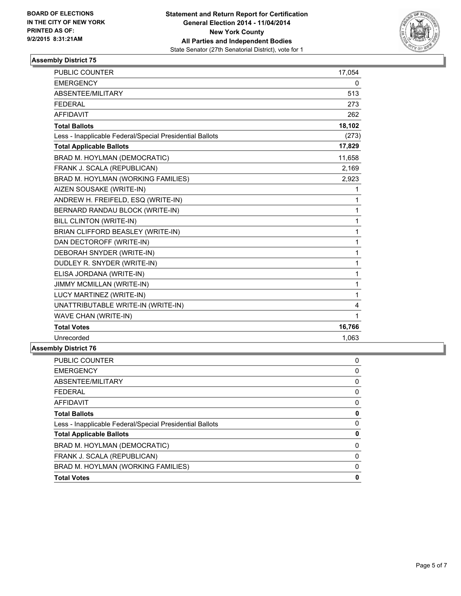

| <b>PUBLIC COUNTER</b>                                    | 17,054 |
|----------------------------------------------------------|--------|
| <b>EMERGENCY</b>                                         | 0      |
| ABSENTEE/MILITARY                                        | 513    |
| <b>FEDERAL</b>                                           | 273    |
| <b>AFFIDAVIT</b>                                         | 262    |
| <b>Total Ballots</b>                                     | 18,102 |
| Less - Inapplicable Federal/Special Presidential Ballots | (273)  |
| <b>Total Applicable Ballots</b>                          | 17,829 |
| BRAD M. HOYLMAN (DEMOCRATIC)                             | 11,658 |
| FRANK J. SCALA (REPUBLICAN)                              | 2,169  |
| BRAD M. HOYLMAN (WORKING FAMILIES)                       | 2,923  |
| AIZEN SOUSAKE (WRITE-IN)                                 | 1      |
| ANDREW H. FREIFELD, ESQ (WRITE-IN)                       | 1      |
| BERNARD RANDAU BLOCK (WRITE-IN)                          | 1      |
| BILL CLINTON (WRITE-IN)                                  | 1      |
| BRIAN CLIFFORD BEASLEY (WRITE-IN)                        | 1      |
| DAN DECTOROFF (WRITE-IN)                                 | 1      |
| DEBORAH SNYDER (WRITE-IN)                                | 1      |
| DUDLEY R. SNYDER (WRITE-IN)                              | 1      |
| ELISA JORDANA (WRITE-IN)                                 | 1      |
| <b>JIMMY MCMILLAN (WRITE-IN)</b>                         | 1      |
| LUCY MARTINEZ (WRITE-IN)                                 | 1      |
| UNATTRIBUTABLE WRITE-IN (WRITE-IN)                       | 4      |
| WAVE CHAN (WRITE-IN)                                     | 1      |
| <b>Total Votes</b>                                       | 16,766 |
| Unrecorded                                               | 1,063  |
|                                                          |        |

| <b>PUBLIC COUNTER</b>                                    | 0 |
|----------------------------------------------------------|---|
| <b>EMERGENCY</b>                                         | 0 |
| ABSENTEE/MILITARY                                        | 0 |
| <b>FEDERAL</b>                                           | 0 |
| AFFIDAVIT                                                | 0 |
| <b>Total Ballots</b>                                     | 0 |
| Less - Inapplicable Federal/Special Presidential Ballots | 0 |
| <b>Total Applicable Ballots</b>                          | 0 |
| BRAD M. HOYLMAN (DEMOCRATIC)                             | 0 |
| FRANK J. SCALA (REPUBLICAN)                              | 0 |
| BRAD M. HOYLMAN (WORKING FAMILIES)                       | 0 |
| <b>Total Votes</b>                                       | 0 |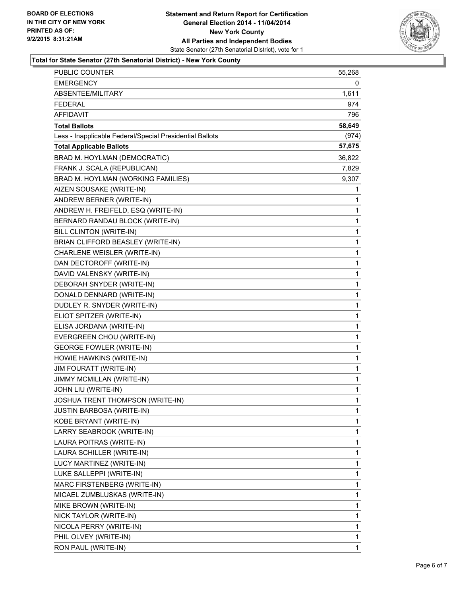

#### **Total for State Senator (27th Senatorial District) - New York County**

| <b>PUBLIC COUNTER</b>                                    | 55,268 |
|----------------------------------------------------------|--------|
| EMERGENCY                                                | 0      |
| ABSENTEE/MILITARY                                        | 1,611  |
| <b>FEDERAL</b>                                           | 974    |
| AFFIDAVIT                                                | 796    |
| <b>Total Ballots</b>                                     | 58,649 |
| Less - Inapplicable Federal/Special Presidential Ballots | (974)  |
| <b>Total Applicable Ballots</b>                          | 57,675 |
| BRAD M. HOYLMAN (DEMOCRATIC)                             | 36,822 |
| FRANK J. SCALA (REPUBLICAN)                              | 7,829  |
| BRAD M. HOYLMAN (WORKING FAMILIES)                       | 9,307  |
| AIZEN SOUSAKE (WRITE-IN)                                 | 1      |
| ANDREW BERNER (WRITE-IN)                                 | 1      |
| ANDREW H. FREIFELD, ESQ (WRITE-IN)                       | 1      |
| BERNARD RANDAU BLOCK (WRITE-IN)                          | 1      |
| BILL CLINTON (WRITE-IN)                                  | 1      |
| BRIAN CLIFFORD BEASLEY (WRITE-IN)                        | 1      |
| CHARLENE WEISLER (WRITE-IN)                              | 1      |
| DAN DECTOROFF (WRITE-IN)                                 | 1      |
| DAVID VALENSKY (WRITE-IN)                                | 1      |
| DEBORAH SNYDER (WRITE-IN)                                | 1      |
| DONALD DENNARD (WRITE-IN)                                | 1      |
| DUDLEY R. SNYDER (WRITE-IN)                              | 1      |
| ELIOT SPITZER (WRITE-IN)                                 | 1      |
| ELISA JORDANA (WRITE-IN)                                 | 1      |
| EVERGREEN CHOU (WRITE-IN)                                | 1      |
| <b>GEORGE FOWLER (WRITE-IN)</b>                          | 1      |
| HOWIE HAWKINS (WRITE-IN)                                 | 1      |
| JIM FOURATT (WRITE-IN)                                   | 1      |
| JIMMY MCMILLAN (WRITE-IN)                                | 1      |
| JOHN LIU (WRITE-IN)                                      | 1      |
| JOSHUA TRENT THOMPSON (WRITE-IN)                         | 1      |
| <b>JUSTIN BARBOSA (WRITE-IN)</b>                         | 1      |
| KOBE BRYANT (WRITE-IN)                                   | 1      |
| LARRY SEABROOK (WRITE-IN)                                | 1      |
| LAURA POITRAS (WRITE-IN)                                 | 1      |
| LAURA SCHILLER (WRITE-IN)                                | 1      |
| LUCY MARTINEZ (WRITE-IN)                                 | 1      |
| LUKE SALLEPPI (WRITE-IN)                                 | 1      |
| MARC FIRSTENBERG (WRITE-IN)                              | 1      |
| MICAEL ZUMBLUSKAS (WRITE-IN)                             | 1      |
| MIKE BROWN (WRITE-IN)                                    | 1      |
| NICK TAYLOR (WRITE-IN)                                   | 1      |
| NICOLA PERRY (WRITE-IN)                                  | 1      |
| PHIL OLVEY (WRITE-IN)                                    | 1      |
| RON PAUL (WRITE-IN)                                      | 1      |